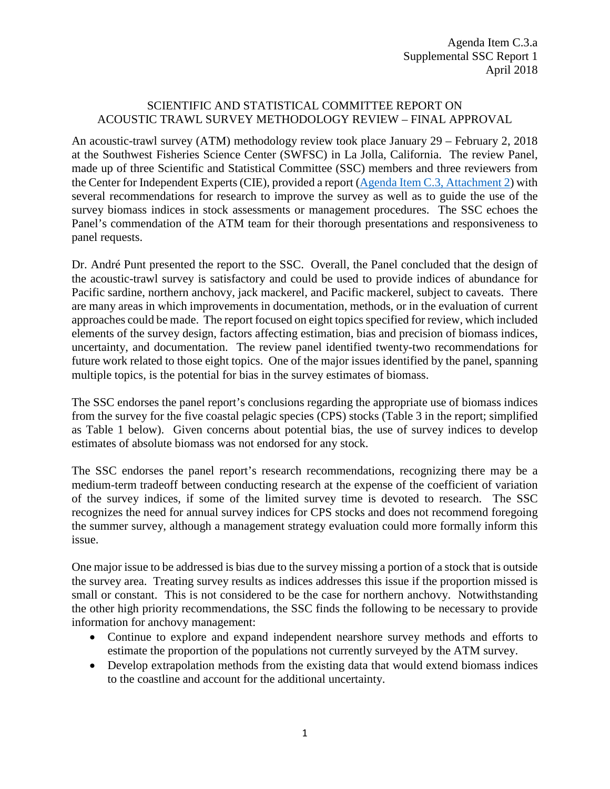## SCIENTIFIC AND STATISTICAL COMMITTEE REPORT ON ACOUSTIC TRAWL SURVEY METHODOLOGY REVIEW – FINAL APPROVAL

An acoustic-trawl survey (ATM) methodology review took place January 29 – February 2, 2018 at the Southwest Fisheries Science Center (SWFSC) in La Jolla, California. The review Panel, made up of three Scientific and Statistical Committee (SSC) members and three reviewers from the Center for Independent Experts (CIE), provided a report [\(Agenda Item C.3, Attachment 2\)](https://www.pcouncil.org/wp-content/uploads/2018/03/C3_Att_2_Acoustic-trawl_Methods_Panel_Report_final_Apr2018BB.pdf) with several recommendations for research to improve the survey as well as to guide the use of the survey biomass indices in stock assessments or management procedures. The SSC echoes the Panel's commendation of the ATM team for their thorough presentations and responsiveness to panel requests.

Dr. André Punt presented the report to the SSC. Overall, the Panel concluded that the design of the acoustic-trawl survey is satisfactory and could be used to provide indices of abundance for Pacific sardine, northern anchovy, jack mackerel, and Pacific mackerel, subject to caveats. There are many areas in which improvements in documentation, methods, or in the evaluation of current approaches could be made. The report focused on eight topics specified for review, which included elements of the survey design, factors affecting estimation, bias and precision of biomass indices, uncertainty, and documentation. The review panel identified twenty-two recommendations for future work related to those eight topics. One of the major issues identified by the panel, spanning multiple topics, is the potential for bias in the survey estimates of biomass.

The SSC endorses the panel report's conclusions regarding the appropriate use of biomass indices from the survey for the five coastal pelagic species (CPS) stocks (Table 3 in the report; simplified as Table 1 below). Given concerns about potential bias, the use of survey indices to develop estimates of absolute biomass was not endorsed for any stock.

The SSC endorses the panel report's research recommendations, recognizing there may be a medium-term tradeoff between conducting research at the expense of the coefficient of variation of the survey indices, if some of the limited survey time is devoted to research. The SSC recognizes the need for annual survey indices for CPS stocks and does not recommend foregoing the summer survey, although a management strategy evaluation could more formally inform this issue.

One major issue to be addressed is bias due to the survey missing a portion of a stock that is outside the survey area. Treating survey results as indices addresses this issue if the proportion missed is small or constant. This is not considered to be the case for northern anchovy. Notwithstanding the other high priority recommendations, the SSC finds the following to be necessary to provide information for anchovy management:

- Continue to explore and expand independent nearshore survey methods and efforts to estimate the proportion of the populations not currently surveyed by the ATM survey.
- Develop extrapolation methods from the existing data that would extend biomass indices to the coastline and account for the additional uncertainty.